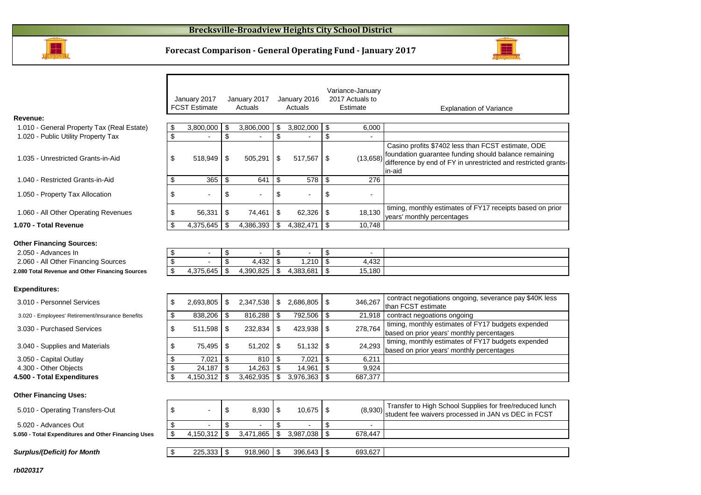



|                                                        |                          | January 2017<br><b>FCST Estimate</b> | January 2017<br>Actuals        | January 2016<br>Actuals |               | Variance-January<br>2017 Actuals to<br>Estimate | <b>Explanation of Variance</b>                                                                                                    |
|--------------------------------------------------------|--------------------------|--------------------------------------|--------------------------------|-------------------------|---------------|-------------------------------------------------|-----------------------------------------------------------------------------------------------------------------------------------|
| Revenue:                                               |                          |                                      |                                |                         |               |                                                 |                                                                                                                                   |
| 1.010 - General Property Tax (Real Estate)             | \$                       | 3,800,000                            | \$<br>3,806,000                | \$<br>3,802,000         | \$            | 6,000                                           |                                                                                                                                   |
| 1.020 - Public Utility Property Tax                    | $\overline{\mathcal{S}}$ | $\overline{a}$                       | \$<br>$\overline{\phantom{a}}$ | \$                      | \$            | $\overline{a}$                                  |                                                                                                                                   |
|                                                        |                          |                                      |                                |                         |               |                                                 | Casino profits \$7402 less than FCST estimate, ODE                                                                                |
| 1.035 - Unrestricted Grants-in-Aid                     | \$                       | 518,949                              | \$<br>505,291                  | \$<br>517,567           | \$            | (13, 658)                                       | foundation guarantee funding should balance remaining<br>difference by end of FY in unrestricted and restricted grants-<br>in-aid |
| 1.040 - Restricted Grants-in-Aid                       | \$                       | 365                                  | \$<br>641                      | \$<br>578               | S.            | 276                                             |                                                                                                                                   |
| 1.050 - Property Tax Allocation                        | \$                       |                                      | \$                             | \$                      | \$            | $\blacksquare$                                  |                                                                                                                                   |
| 1.060 - All Other Operating Revenues                   | \$                       | 56,331                               | \$<br>74,461                   | \$<br>62,326            | \$            | 18,130                                          | timing, monthly estimates of FY17 receipts based on prior<br>years' monthly percentages                                           |
| 1.070 - Total Revenue                                  | \$                       | 4,375,645                            | \$<br>4,386,393                | \$<br>4,382,471         | \$            | 10,748                                          |                                                                                                                                   |
| <b>Other Financing Sources:</b><br>2.050 - Advances In | \$                       | $\blacksquare$                       | \$<br>$\blacksquare$           | \$<br>$\sim$            | \$            | $\blacksquare$                                  |                                                                                                                                   |
| 2.060 - All Other Financing Sources                    | \$                       |                                      | \$<br>4,432                    | \$<br>1,210             | \$            | 4,432                                           |                                                                                                                                   |
| 2.080 Total Revenue and Other Financing Sources        | \$                       | 4,375,645                            | \$<br>4,390,825                | \$<br>4,383,681         | \$            | 15,180                                          |                                                                                                                                   |
|                                                        |                          |                                      |                                |                         |               |                                                 |                                                                                                                                   |
| <b>Expenditures:</b>                                   |                          |                                      |                                |                         |               |                                                 |                                                                                                                                   |
| 3.010 - Personnel Services                             | \$                       | 2,693,805                            | \$<br>2,347,538                | \$<br>2,686,805         | -\$           | 346,267                                         | contract negotiations ongoing, severance pay \$40K less<br>than FCST estimate                                                     |
| 3.020 - Employees' Retirement/Insurance Benefits       | \$                       | 838,206                              | \$<br>816,288                  | \$<br>792,506           | \$            | 21,918                                          | contract negoations ongoing                                                                                                       |
| 3.030 - Purchased Services                             | \$                       | 511,598                              | \$<br>232,834                  | \$<br>423,938           | \$            | 278,764                                         | timing, monthly estimates of FY17 budgets expended<br>based on prior years' monthly percentages                                   |
| 3.040 - Supplies and Materials                         | \$                       | 75,495                               | \$<br>51,202                   | \$<br>51,132            | \$            | 24,293                                          | timing, monthly estimates of FY17 budgets expended<br>based on prior years' monthly percentages                                   |
| 3.050 - Capital Outlay                                 | \$                       | 7,021                                | \$<br>810                      | \$<br>7,021             | $\sqrt[6]{2}$ | 6,211                                           |                                                                                                                                   |
| 4.300 - Other Objects                                  | \$                       | 24,187                               | \$<br>14,263                   | \$<br>14,961            | \$            | 9,924                                           |                                                                                                                                   |
| 4.500 - Total Expenditures                             | \$                       | 4,150,312                            | \$<br>3,462,935                | \$<br>3,976,363         | \$            | 687,377                                         |                                                                                                                                   |
| <b>Other Financing Uses:</b>                           |                          |                                      |                                |                         |               |                                                 |                                                                                                                                   |
| 5.010 - Operating Transfers-Out                        | \$                       |                                      | \$<br>8.930                    | \$<br>10.675            | \$            | (8,930)                                         | Transfer to High School Supplies for free/reduced lunch<br>student fee waivers processed in JAN vs DEC in FCST                    |
| 5.020 - Advances Out                                   | \$                       |                                      | \$                             | \$                      | \$            |                                                 |                                                                                                                                   |
| 5.050 - Total Expenditures and Other Financing Uses    | \$                       | 4,150,312                            | \$<br>3,471,865                | \$<br>3,987,038         | \$            | 678,447                                         |                                                                                                                                   |
|                                                        |                          |                                      |                                |                         |               |                                                 |                                                                                                                                   |
| <b>Surplus/(Deficit) for Month</b>                     | \$                       | 225,333                              | \$<br>918.960                  | \$<br>396,643           | \$            | 693,627                                         |                                                                                                                                   |
|                                                        |                          |                                      |                                |                         |               |                                                 |                                                                                                                                   |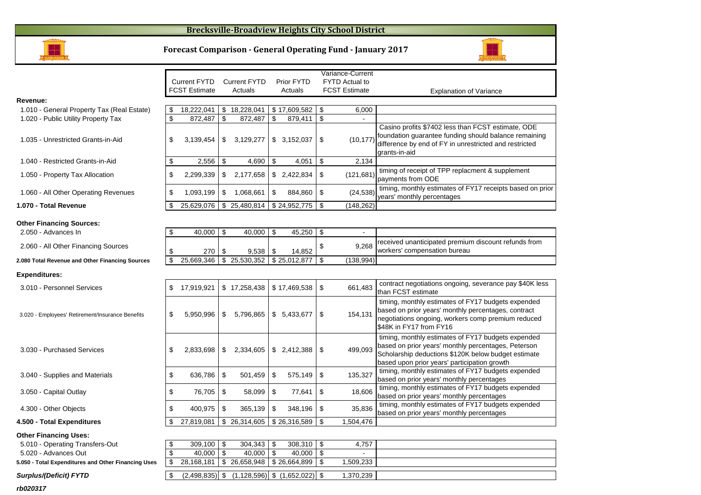#### **Brecksville-Broadview Heights City School District**



#### **Forecast Comparison - General Operating Fund - January 2017**



|                                                        |                |                      |                           |                                   |               |              |                | Variance-Current            |                                                                                                                                                                                                                  |
|--------------------------------------------------------|----------------|----------------------|---------------------------|-----------------------------------|---------------|--------------|----------------|-----------------------------|------------------------------------------------------------------------------------------------------------------------------------------------------------------------------------------------------------------|
|                                                        |                | <b>Current FYTD</b>  |                           | <b>Current FYTD</b>               |               | Prior FYTD   |                | <b>FYTD Actual to</b>       |                                                                                                                                                                                                                  |
|                                                        |                | <b>FCST Estimate</b> |                           | Actuals                           |               | Actuals      |                | <b>FCST Estimate</b>        | <b>Explanation of Variance</b>                                                                                                                                                                                   |
| Revenue:                                               |                |                      |                           |                                   |               |              |                |                             |                                                                                                                                                                                                                  |
| 1.010 - General Property Tax (Real Estate)             | \$             | 18,222,041           |                           | \$18,228,041                      |               | \$17,609,582 | \$             | 6,000                       |                                                                                                                                                                                                                  |
| 1.020 - Public Utility Property Tax                    | \$             | 872.487              | \$                        | 872,487                           | \$            | 879,411      | \$             | $\sim$                      |                                                                                                                                                                                                                  |
| 1.035 - Unrestricted Grants-in-Aid                     | \$             | 3,139,454            | \$                        | 3,129,277                         |               | \$3,152,037  | \$             | (10, 177)                   | Casino profits \$7402 less than FCST estimate, ODE<br>foundation guarantee funding should balance remaining<br>difference by end of FY in unrestricted and restricted<br>grants-in-aid                           |
| 1.040 - Restricted Grants-in-Aid                       | \$             | 2,556                | \$                        | 4,690                             | \$            | 4,051        | \$             | 2,134                       |                                                                                                                                                                                                                  |
| 1.050 - Property Tax Allocation                        | \$             | 2,299,339            | \$                        | 2,177,658                         |               | \$2,422,834  | \$             | (121, 681)                  | timing of receipt of TPP replacment & supplement<br>payments from ODE                                                                                                                                            |
| 1.060 - All Other Operating Revenues                   | \$             | 1,093,199            | \$                        | 1,068,661                         | \$            | 884,860      | \$             | (24, 538)                   | timing, monthly estimates of FY17 receipts based on prior<br>years' monthly percentages                                                                                                                          |
| 1.070 - Total Revenue                                  | \$             | 25,629,076           |                           | \$25,480,814                      |               | \$24,952,775 | \$             | (148, 262)                  |                                                                                                                                                                                                                  |
| <b>Other Financing Sources:</b><br>2.050 - Advances In | \$             | 40.000               | -\$                       | 40.000                            | \$            | 45,250       | \$             | $\sim$                      |                                                                                                                                                                                                                  |
|                                                        |                |                      |                           |                                   |               |              |                |                             |                                                                                                                                                                                                                  |
| 2.060 - All Other Financing Sources                    | \$             | 270                  | \$                        | 9,538                             | \$            | 14,852       | \$             | 9,268                       | received unanticipated premium discount refunds from<br>workers' compensation bureau                                                                                                                             |
| 2.080 Total Revenue and Other Financing Sources        | $\mathfrak{S}$ | 25.669.346           |                           | \$25,530,352                      |               | \$25.012.877 | $\mathfrak{L}$ | (138, 994)                  |                                                                                                                                                                                                                  |
| <b>Expenditures:</b>                                   |                |                      |                           |                                   |               |              |                |                             |                                                                                                                                                                                                                  |
| 3.010 - Personnel Services                             | \$             | 17,919,921           |                           | \$17,258,438                      |               | \$17,469,538 | \$             | 661,483                     | contract negotiations ongoing, severance pay \$40K less<br>than FCST estimate                                                                                                                                    |
| 3.020 - Employees' Retirement/Insurance Benefits       | \$             | 5,950,996            | \$                        | 5,796,865                         |               | \$5,433,677  | \$             | 154,131                     | timing, monthly estimates of FY17 budgets expended<br>based on prior years' monthly percentages, contract<br>negotiations ongoing, workers comp premium reduced<br>\$48K in FY17 from FY16                       |
| 3.030 - Purchased Services                             | \$             | 2,833,698            | \$                        | 2,334,605                         |               | \$2,412,388  | \$             | 499,093                     | timing, monthly estimates of FY17 budgets expended<br>based on prior years' monthly percentages, Peterson<br>Scholarship deductions \$120K below budget estimate<br>based upon prior years' participation growth |
| 3.040 - Supplies and Materials                         | \$             | 636,786              | $\sqrt[6]{\frac{1}{2}}$   | 501,459                           | $\sqrt[6]{2}$ | 575,149      | \$             | 135,327                     | timing, monthly estimates of FY17 budgets expended<br>based on prior years' monthly percentages                                                                                                                  |
| 3.050 - Capital Outlay                                 | \$             | 76,705               | \$                        | 58,099                            | \$            | 77,641       | \$             | 18,606                      | timing, monthly estimates of FY17 budgets expended<br>based on prior years' monthly percentages                                                                                                                  |
| 4.300 - Other Objects                                  | \$             | 400,975              | $\boldsymbol{\mathsf{S}}$ | 365,139                           | \$            | 348,196      | \$             | 35,836                      | timing, monthly estimates of FY17 budgets expended<br>based on prior years' monthly percentages                                                                                                                  |
| 4.500 - Total Expenditures                             |                | 27,819,081           | \$                        | 26,314,605                        |               | \$26,316,589 | \$             | 1,504,476                   |                                                                                                                                                                                                                  |
| <b>Other Financing Uses:</b>                           |                |                      |                           |                                   |               |              |                |                             |                                                                                                                                                                                                                  |
| 5.010 - Operating Transfers-Out                        | \$             | $309,100$   \$       |                           | 304,343                           | -\$           | 308,310      | $\sqrt[6]{3}$  | 4,757                       |                                                                                                                                                                                                                  |
| 5.020 - Advances Out                                   | $\mathfrak{S}$ | $40,000$ \$          |                           | 40.000                            | $\sqrt[6]{3}$ | 40,000       | $\sqrt[6]{3}$  | $\mathcal{L}^{\mathcal{A}}$ |                                                                                                                                                                                                                  |
| 5.050 - Total Expenditures and Other Financing Uses    | \$             | 28, 168, 181         |                           | \$26,658,948                      |               | \$26,664,899 | \$             | 1,509,233                   |                                                                                                                                                                                                                  |
| <b>Surplus/(Deficit) FYTD</b>                          | \$             | $(2,498,835)$ \$     |                           | $(1,128,596)$ \$ $(1,652,022)$ \$ |               |              |                | 1,370,239                   |                                                                                                                                                                                                                  |
|                                                        |                |                      |                           |                                   |               |              |                |                             |                                                                                                                                                                                                                  |

**rb020317**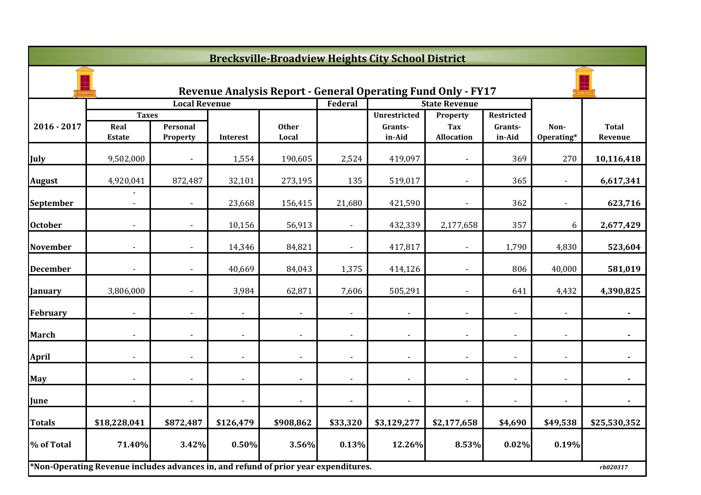|                 | <b>Brecksville-Broadview Heights City School District</b>                           |                      |                          |                                                                     |                          |                                   |                                      |                                 |                    |                         |
|-----------------|-------------------------------------------------------------------------------------|----------------------|--------------------------|---------------------------------------------------------------------|--------------------------|-----------------------------------|--------------------------------------|---------------------------------|--------------------|-------------------------|
|                 |                                                                                     |                      |                          | <b>Revenue Analysis Report - General Operating Fund Only - FY17</b> |                          |                                   |                                      |                                 |                    |                         |
|                 |                                                                                     | <b>Local Revenue</b> |                          |                                                                     | Federal                  |                                   | <b>State Revenue</b>                 |                                 |                    |                         |
| 2016 - 2017     | <b>Taxes</b><br>Real<br><b>Estate</b>                                               | Personal<br>Property | Interest                 | <b>Other</b><br>Local                                               |                          | Unrestricted<br>Grants-<br>in-Aid | Property<br>Tax<br><b>Allocation</b> | Restricted<br>Grants-<br>in-Aid | Non-<br>Operating* | <b>Total</b><br>Revenue |
| July            | 9,502,000                                                                           |                      | 1,554                    | 190,605                                                             | 2,524                    | 419,097                           |                                      | 369                             | 270                | 10,116,418              |
| <b>August</b>   | 4,920,041                                                                           | 872,487              | 32,101                   | 273,195                                                             | 135                      | 519,017                           |                                      | 365                             |                    | 6,617,341               |
| September       |                                                                                     | $\blacksquare$       | 23,668                   | 156,415                                                             | 21,680                   | 421,590                           | $\blacksquare$                       | 362                             |                    | 623,716                 |
| <b>October</b>  |                                                                                     | $\blacksquare$       | 10,156                   | 56,913                                                              | $\overline{\phantom{a}}$ | 432,339                           | 2,177,658                            | 357                             | 6                  | 2,677,429               |
| <b>November</b> |                                                                                     |                      | 14,346                   | 84,821                                                              |                          | 417,817                           |                                      | 1,790                           | 4,830              | 523,604                 |
| <b>December</b> |                                                                                     |                      | 40,669                   | 84,043                                                              | 1,375                    | 414,126                           |                                      | 806                             | 40,000             | 581,019                 |
| January         | 3,806,000                                                                           |                      | 3,984                    | 62,871                                                              | 7,606                    | 505,291                           |                                      | 641                             | 4,432              | 4,390,825               |
| <b>February</b> |                                                                                     |                      | $\blacksquare$           |                                                                     | $\blacksquare$           | $\blacksquare$                    |                                      | $\overline{\phantom{0}}$        |                    | $\blacksquare$          |
| <b>March</b>    | $\overline{\phantom{a}}$                                                            | $\blacksquare$       | $\overline{\phantom{a}}$ | $\overline{\phantom{a}}$                                            | $\overline{\phantom{a}}$ | $\blacksquare$                    |                                      | $\overline{\phantom{a}}$        | $\blacksquare$     | $\blacksquare$          |
| <b>April</b>    |                                                                                     |                      |                          |                                                                     |                          |                                   |                                      |                                 |                    |                         |
| May             |                                                                                     |                      |                          |                                                                     |                          | $\overline{\phantom{a}}$          |                                      |                                 |                    |                         |
| June            |                                                                                     |                      |                          |                                                                     |                          |                                   |                                      |                                 |                    |                         |
| <b>Totals</b>   | \$18,228,041                                                                        | \$872,487            | \$126,479                | \$908,862                                                           | \$33,320                 | \$3,129,277                       | \$2,177,658                          | \$4,690                         | \$49,538           | \$25,530,352            |
| % of Total      | 71.40%                                                                              | 3.42%                | 0.50%                    | 3.56%                                                               | 0.13%                    | 12.26%                            | 8.53%                                | 0.02%                           | 0.19%              |                         |
|                 | *Non-Operating Revenue includes advances in, and refund of prior year expenditures. |                      |                          |                                                                     |                          |                                   |                                      |                                 |                    | rb020317                |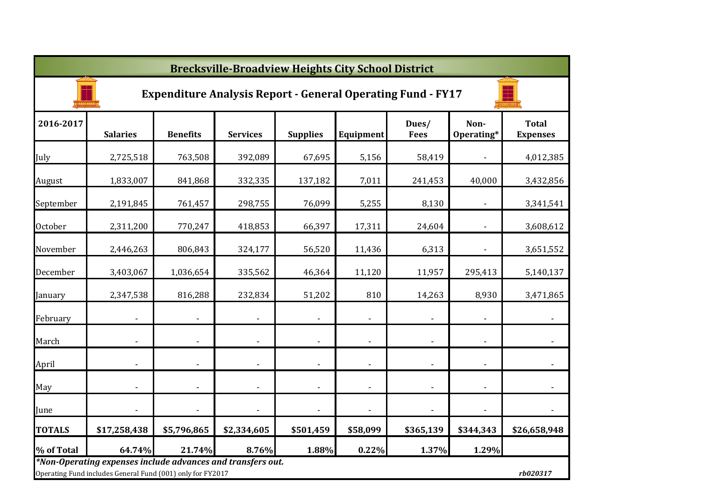|                | <b>Brecksville-Broadview Heights City School District</b>                                                                 |                 |                          |                          |                          |                      |                    |                                 |  |  |  |  |
|----------------|---------------------------------------------------------------------------------------------------------------------------|-----------------|--------------------------|--------------------------|--------------------------|----------------------|--------------------|---------------------------------|--|--|--|--|
|                | <b>Expenditure Analysis Report - General Operating Fund - FY17</b>                                                        |                 |                          |                          |                          |                      |                    |                                 |  |  |  |  |
| 2016-2017      | <b>Salaries</b>                                                                                                           | <b>Benefits</b> | <b>Services</b>          | <b>Supplies</b>          | Equipment                | Dues/<br><b>Fees</b> | Non-<br>Operating* | <b>Total</b><br><b>Expenses</b> |  |  |  |  |
| July           | 2,725,518                                                                                                                 | 763,508         | 392,089                  | 67,695                   | 5,156                    | 58,419               |                    | 4,012,385                       |  |  |  |  |
| August         | 1,833,007                                                                                                                 | 841,868         | 332,335                  | 137,182                  | 7,011                    | 241,453              | 40,000             | 3,432,856                       |  |  |  |  |
| September      | 2,191,845                                                                                                                 | 761,457         | 298,755                  | 76,099                   | 5,255                    | 8,130                |                    | 3,341,541                       |  |  |  |  |
| <b>October</b> | 2,311,200                                                                                                                 | 770,247         | 418,853                  | 66,397                   | 17,311                   | 24,604               |                    | 3,608,612                       |  |  |  |  |
| November       | 2,446,263                                                                                                                 | 806,843         | 324,177                  | 56,520                   | 11,436                   | 6,313                |                    | 3,651,552                       |  |  |  |  |
| December       | 3,403,067                                                                                                                 | 1,036,654       | 335,562                  | 46,364                   | 11,120                   | 11,957               | 295,413            | 5,140,137                       |  |  |  |  |
| January        | 2,347,538                                                                                                                 | 816,288         | 232,834                  | 51,202                   | 810                      | 14,263               | 8,930              | 3,471,865                       |  |  |  |  |
| February       |                                                                                                                           |                 |                          |                          | $\overline{\phantom{a}}$ |                      |                    | $\blacksquare$                  |  |  |  |  |
| March          |                                                                                                                           | $\blacksquare$  | $\blacksquare$           | $\overline{\phantom{a}}$ | $\overline{\phantom{a}}$ | $\blacksquare$       | ÷,                 |                                 |  |  |  |  |
| April          | $\blacksquare$                                                                                                            | $\blacksquare$  | $\overline{\phantom{a}}$ | $\blacksquare$           | $\overline{\phantom{a}}$ | $\blacksquare$       | $\blacksquare$     |                                 |  |  |  |  |
| May            | $\blacksquare$                                                                                                            | $\blacksquare$  | $\blacksquare$           | $\blacksquare$           | $\overline{\phantom{a}}$ | $\blacksquare$       |                    | $\overline{\phantom{a}}$        |  |  |  |  |
| June           |                                                                                                                           |                 |                          |                          | $\overline{\phantom{a}}$ | $\blacksquare$       |                    |                                 |  |  |  |  |
| <b>TOTALS</b>  | \$17,258,438                                                                                                              | \$5,796,865     | \$2,334,605              | \$501,459                | \$58,099                 | \$365,139            | \$344,343          | \$26,658,948                    |  |  |  |  |
| % of Total     | 64.74%                                                                                                                    | 21.74%          | 8.76%                    | 1.88%                    | 0.22%                    | 1.37%                | 1.29%              |                                 |  |  |  |  |
|                | *Non-Operating expenses include advances and transfers out.<br>Operating Fund includes General Fund (001) only for FY2017 |                 |                          |                          |                          |                      |                    | rb020317                        |  |  |  |  |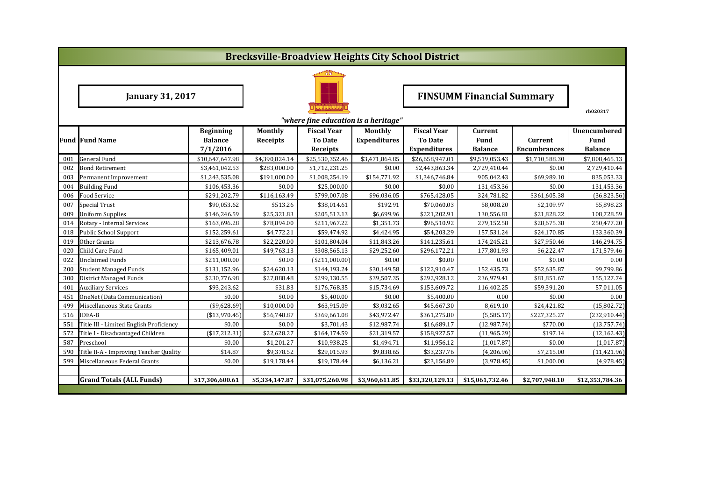|            |                                         |                                |                        |                                      |                        | <b>Brecksville-Broadview Heights City School District</b> |                                  |                       |                           |
|------------|-----------------------------------------|--------------------------------|------------------------|--------------------------------------|------------------------|-----------------------------------------------------------|----------------------------------|-----------------------|---------------------------|
|            |                                         |                                |                        |                                      |                        |                                                           |                                  |                       |                           |
|            | <b>January 31, 2017</b>                 |                                |                        |                                      |                        |                                                           | <b>FINSUMM Financial Summary</b> |                       |                           |
|            |                                         |                                |                        |                                      |                        |                                                           |                                  |                       | rb020317                  |
|            |                                         |                                |                        | "where fine education is a heritage" |                        |                                                           |                                  |                       |                           |
|            |                                         | <b>Beginning</b>               | Monthly                | <b>Fiscal Year</b>                   | Monthly                | <b>Fiscal Year</b>                                        | Current                          |                       | Unencumbered              |
|            | <b>Fund Fund Name</b>                   | <b>Balance</b>                 | <b>Receipts</b>        | <b>To Date</b>                       | <b>Expenditures</b>    | <b>To Date</b>                                            | Fund                             | Current               | Fund                      |
|            |                                         | 7/1/2016                       |                        | Receipts                             |                        | <b>Expenditures</b>                                       | <b>Balance</b>                   | <b>Encumbrances</b>   | <b>Balance</b>            |
| 001        | <b>General Fund</b>                     | \$10,647,647.98                | \$4,390,824.14         | \$25,530,352.46                      | \$3,471,864.85         | \$26,658,947.01                                           | \$9,519,053.43                   | \$1,710,588.30        | \$7,808,465.13            |
| 002        | <b>Bond Retirement</b>                  | \$3,461,042.53                 | \$283,000.00           | \$1,712,231.25                       | \$0.00                 | \$2,443,863.34                                            | 2,729,410.44                     | \$0.00                | 2,729,410.44              |
| 003<br>004 | Permanent Improvement                   | \$1,243,535.08<br>\$106,453.36 | \$191,000.00<br>\$0.00 | \$1,008,254.19<br>\$25,000.00        | \$154,771.92<br>\$0.00 | \$1,346,746.84<br>\$0.00                                  | 905.042.43<br>131,453.36         | \$69,989.10<br>\$0.00 | 835,053.33                |
| 006        | <b>Building Fund</b><br>Food Service    | \$291,202.79                   | \$116,163.49           | \$799,007.08                         | \$96,036.05            | \$765,428.05                                              | 324,781.82                       | \$361,605.38          | 131,453.36<br>(36,823.56) |
| 007        | <b>Special Trust</b>                    | \$90,053.62                    | \$513.26               | \$38,014.61                          | \$192.91               | \$70,060.03                                               | 58,008.20                        | \$2,109.97            | 55,898.23                 |
| 009        | Uniform Supplies                        | \$146,246.59                   | \$25,321.83            | \$205,513.13                         | \$6,699.96             | \$221,202.91                                              | 130,556.81                       | \$21,828.22           | 108,728.59                |
| 014        | Rotary - Internal Services              | \$163,696.28                   | \$78,894.00            | \$211,967.22                         | \$1,351.73             | \$96,510.92                                               | 279,152.58                       | \$28,675.38           | 250,477.20                |
| 018        | <b>Public School Support</b>            | \$152,259.61                   | \$4,772.21             | \$59,474.92                          | \$4,424.95             | \$54,203.29                                               | 157,531.24                       | \$24,170.85           | 133,360.39                |
| 019        | Other Grants                            | \$213,676.78                   | \$22,220.00            | \$101,804.04                         | \$11,843.26            | \$141,235.61                                              | 174,245.21                       | \$27,950.46           | 146,294.75                |
| 020        | Child Care Fund                         | \$165,409.01                   | \$49,763.13            | \$308,565.13                         | \$29,252.60            | \$296,172.21                                              | 177,801.93                       | \$6,222.47            | 171,579.46                |
| 022        | <b>Unclaimed Funds</b>                  | \$211,000.00                   | \$0.00                 | ( \$211,000.00]                      | \$0.00                 | \$0.00                                                    | 0.00                             | \$0.00                | 0.00                      |
| 200        | <b>Student Managed Funds</b>            | \$131,152.96                   | \$24,620.13            | \$144,193.24                         | \$30,149.58            | \$122,910.47                                              | 152,435.73                       | \$52,635.87           | 99,799.86                 |
| 300        | <b>District Managed Funds</b>           | \$230,776.98                   | \$27,888.48            | \$299,130.55                         | \$39,507.35            | \$292,928.12                                              | 236,979.41                       | \$81,851.67           | 155,127.74                |
| 401        | <b>Auxiliary Services</b>               | \$93,243.62                    | \$31.83                | \$176,768.35                         | \$15,734.69            | \$153,609.72                                              | 116,402.25                       | \$59,391.20           | 57,011.05                 |
| 451        | OneNet (Data Communication)             | \$0.00                         | \$0.00                 | \$5,400.00                           | \$0.00                 | \$5,400.00                                                | 0.00                             | \$0.00                | 0.00                      |
| 499        | Miscellaneous State Grants              | ( \$9,628.69)                  | \$10,000.00            | \$63,915.09                          | \$3,032.65             | \$45,667.30                                               | 8,619.10                         | \$24,421.82           | (15,802.72)               |
| 516        | <b>IDEA-B</b>                           | ( \$13,970.45)                 | \$56,748.87            | \$369,661.08                         | \$43,972.47            | \$361,275.80                                              | (5,585.17)                       | \$227,325.27          | (232, 910.44)             |
| 551        | Title III - Limited English Proficiency | \$0.00                         | \$0.00                 | \$3,701.43                           | \$12,987.74            | \$16,689.17                                               | (12,987.74)                      | \$770.00              | (13,757.74)               |
| 572        | Title I - Disadvantaged Children        | ( \$17, 212.31)                | \$22,628.27            | \$164,174.59                         | \$21,319.57            | \$158,927.57                                              | (11,965.29)                      | \$197.14              | (12, 162.43)              |
| 587        | Preschool                               | \$0.00                         | \$1,201.27             | \$10,938.25                          | \$1,494.71             | \$11,956.12                                               | (1,017.87)                       | \$0.00                | (1,017.87)                |
| 590        | Title II-A - Improving Teacher Quality  | \$14.87                        | \$9,378.52             | \$29,015.93                          | \$9,838.65             | \$33,237.76                                               | (4,206.96)                       | \$7,215.00            | (11, 421.96)              |
| 599        | Miscellaneous Federal Grants            | \$0.00                         | \$19,178.44            | \$19,178.44                          | \$6,136.21             | \$23,156.89                                               | (3,978.45)                       | \$1,000.00            | (4,978.45)                |
|            |                                         |                                |                        |                                      |                        |                                                           |                                  |                       |                           |
|            | <b>Grand Totals (ALL Funds)</b>         | \$17,306,600.61                | \$5,334,147.87         | \$31,075,260.98                      | \$3,960,611.85         | \$33,320,129.13                                           | \$15,061,732.46                  | \$2,707,948.10        | \$12,353,784.36           |
|            |                                         |                                |                        |                                      |                        |                                                           |                                  |                       |                           |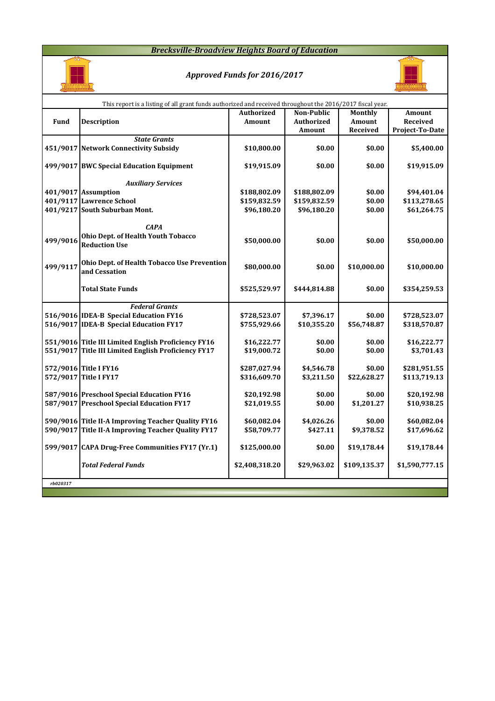### *Brecksville-Broadview Heights Board of Education*



## *Approved Funds for 2016/2017*



|          | This report is a listing of all grant funds authorized and received throughout the 2016/2017 fiscal year. |                   |                   |              |                 |
|----------|-----------------------------------------------------------------------------------------------------------|-------------------|-------------------|--------------|-----------------|
|          |                                                                                                           | <b>Authorized</b> | <b>Non-Public</b> | Monthly      | Amount          |
| Fund     | <b>Description</b>                                                                                        | Amount            | <b>Authorized</b> | Amount       | <b>Received</b> |
|          |                                                                                                           |                   | Amount            | Received     | Project-To-Date |
|          | <b>State Grants</b>                                                                                       |                   |                   |              |                 |
|          | 451/9017 Network Connectivity Subsidy                                                                     | \$10,800.00       | \$0.00            | \$0.00       | \$5,400.00      |
|          |                                                                                                           |                   |                   |              |                 |
|          | 499/9017 BWC Special Education Equipment                                                                  | \$19,915.09       | \$0.00            | \$0.00       | \$19,915.09     |
|          |                                                                                                           |                   |                   |              |                 |
|          | <b>Auxiliary Services</b>                                                                                 |                   |                   |              |                 |
|          | 401/9017 Assumption                                                                                       | \$188,802.09      | \$188,802.09      | \$0.00       | \$94,401.04     |
|          | 401/9117 Lawrence School                                                                                  | \$159,832.59      | \$159,832.59      | \$0.00       | \$113,278.65    |
|          | 401/9217 South Suburban Mont.                                                                             | \$96,180.20       | \$96,180.20       | \$0.00       | \$61,264.75     |
|          |                                                                                                           |                   |                   |              |                 |
|          | <b>CAPA</b>                                                                                               |                   |                   |              |                 |
|          | Ohio Dept. of Health Youth Tobacco                                                                        |                   |                   |              |                 |
| 499/9016 | <b>Reduction Use</b>                                                                                      | \$50,000.00       | \$0.00            | \$0.00       | \$50,000.00     |
|          |                                                                                                           |                   |                   |              |                 |
|          | Ohio Dept. of Health Tobacco Use Prevention                                                               |                   |                   |              |                 |
| 499/9117 | and Cessation                                                                                             | \$80,000.00       | \$0.00            | \$10,000.00  | \$10,000.00     |
|          |                                                                                                           |                   |                   |              |                 |
|          | <b>Total State Funds</b>                                                                                  | \$525,529.97      | \$444,814.88      | \$0.00       | \$354,259.53    |
|          |                                                                                                           |                   |                   |              |                 |
|          | <b>Federal Grants</b>                                                                                     |                   |                   |              |                 |
|          | 516/9016 IDEA-B Special Education FY16                                                                    | \$728,523.07      | \$7,396.17        | \$0.00       | \$728,523.07    |
|          | 516/9017 IDEA-B Special Education FY17                                                                    | \$755,929.66      | \$10,355.20       | \$56,748.87  | \$318,570.87    |
|          |                                                                                                           |                   |                   |              |                 |
|          | 551/9016 Title III Limited English Proficiency FY16                                                       | \$16,222.77       | \$0.00            | \$0.00       | \$16,222.77     |
|          | 551/9017 Title III Limited English Proficiency FY17                                                       | \$19,000.72       | \$0.00            | \$0.00       | \$3,701.43      |
|          |                                                                                                           |                   |                   |              |                 |
|          | 572/9016 Title I FY16                                                                                     | \$287,027.94      | \$4,546.78        | \$0.00       | \$281,951.55    |
|          | 572/9017 Title I FY17                                                                                     | \$316,609.70      | \$3,211.50        | \$22,628.27  | \$113,719.13    |
|          |                                                                                                           |                   |                   |              |                 |
|          | 587/9016 Preschool Special Education FY16                                                                 | \$20,192.98       | \$0.00            | \$0.00       | \$20,192.98     |
|          | 587/9017 Preschool Special Education FY17                                                                 | \$21,019.55       | \$0.00            | \$1,201.27   | \$10,938.25     |
|          |                                                                                                           |                   |                   |              |                 |
|          | 590/9016 Title II-A Improving Teacher Quality FY16                                                        | \$60,082.04       | \$4,026.26        | \$0.00       | \$60,082.04     |
|          | 590/9017 Title II-A Improving Teacher Quality FY17                                                        | \$58,709.77       | \$427.11          | \$9,378.52   | \$17,696.62     |
|          |                                                                                                           |                   |                   |              |                 |
|          | 599/9017 CAPA Drug-Free Communities FY17 (Yr.1)                                                           | \$125,000.00      | \$0.00            | \$19,178.44  | \$19,178.44     |
|          |                                                                                                           |                   |                   |              |                 |
|          | <b>Total Federal Funds</b>                                                                                | \$2,408,318.20    | \$29,963.02       | \$109,135.37 | \$1,590,777.15  |
|          |                                                                                                           |                   |                   |              |                 |
| rb020317 |                                                                                                           |                   |                   |              |                 |
|          |                                                                                                           |                   |                   |              |                 |
|          |                                                                                                           |                   |                   |              |                 |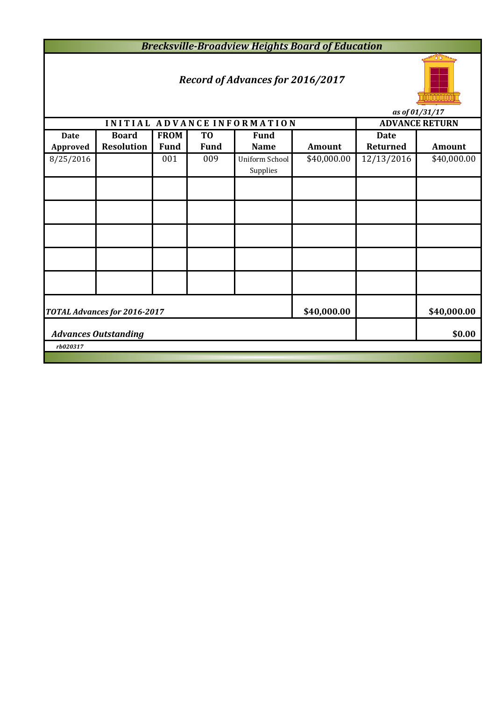*Brecksville-Broadview Heights Board of Education*

# *Record of Advances for 2016/2017*



**INITIAL ADVANCE INFORMATION ADVANCE RETURN Date Board FROM TO Fund Date Approved Resolution Fund Fund Name Amount Returned Amount** 8/25/2016 001 009 Uniform School \$40,000.00 12/13/2016 \$40,000.00 Supplies **\$40,000.00 \$40,000.00 \$0.00** *rb020317 as of 01/31/17 Advances Outstanding TOTAL Advances for 2016-2017*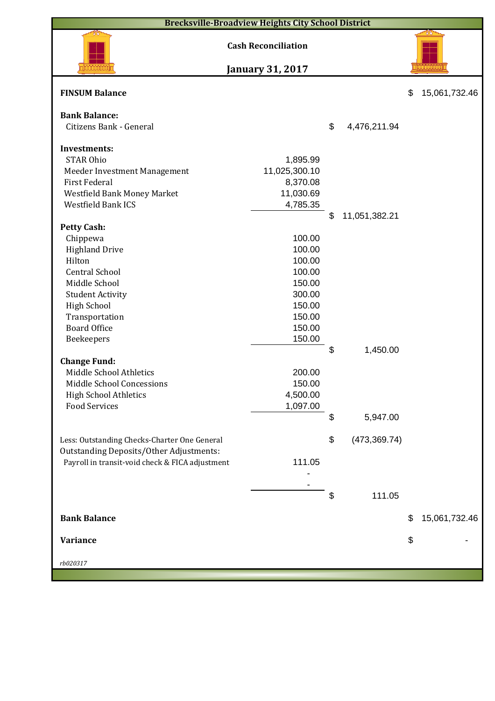| <b>Brecksville-Broadview Heights City School District</b> |                            |                     |                     |
|-----------------------------------------------------------|----------------------------|---------------------|---------------------|
|                                                           | <b>Cash Reconciliation</b> |                     |                     |
|                                                           | <b>January 31, 2017</b>    |                     |                     |
| <b>FINSUM Balance</b>                                     |                            |                     | \$<br>15,061,732.46 |
| <b>Bank Balance:</b>                                      |                            |                     |                     |
| Citizens Bank - General                                   |                            | \$<br>4,476,211.94  |                     |
|                                                           |                            |                     |                     |
| <b>Investments:</b>                                       |                            |                     |                     |
| <b>STAR Ohio</b>                                          | 1,895.99                   |                     |                     |
| Meeder Investment Management                              | 11,025,300.10              |                     |                     |
| <b>First Federal</b>                                      | 8,370.08                   |                     |                     |
| Westfield Bank Money Market                               | 11,030.69                  |                     |                     |
| <b>Westfield Bank ICS</b>                                 | 4,785.35                   |                     |                     |
|                                                           |                            | \$<br>11,051,382.21 |                     |
| <b>Petty Cash:</b><br>Chippewa                            | 100.00                     |                     |                     |
| <b>Highland Drive</b>                                     | 100.00                     |                     |                     |
| Hilton                                                    | 100.00                     |                     |                     |
| <b>Central School</b>                                     | 100.00                     |                     |                     |
| Middle School                                             | 150.00                     |                     |                     |
| <b>Student Activity</b>                                   | 300.00                     |                     |                     |
| <b>High School</b>                                        | 150.00                     |                     |                     |
| Transportation                                            | 150.00                     |                     |                     |
| <b>Board Office</b>                                       | 150.00                     |                     |                     |
| Beekeepers                                                | 150.00                     |                     |                     |
|                                                           |                            | \$<br>1,450.00      |                     |
| <b>Change Fund:</b>                                       |                            |                     |                     |
| Middle School Athletics                                   | 200.00                     |                     |                     |
| Middle School Concessions                                 | 150.00                     |                     |                     |
| <b>High School Athletics</b>                              | 4,500.00                   |                     |                     |
| <b>Food Services</b>                                      | 1,097.00                   |                     |                     |
|                                                           |                            | \$<br>5,947.00      |                     |
|                                                           |                            |                     |                     |
| Less: Outstanding Checks-Charter One General              |                            | \$<br>(473, 369.74) |                     |
| <b>Outstanding Deposits/Other Adjustments:</b>            |                            |                     |                     |
| Payroll in transit-void check & FICA adjustment           | 111.05                     |                     |                     |
|                                                           |                            |                     |                     |
|                                                           |                            | \$<br>111.05        |                     |
|                                                           |                            |                     |                     |
| <b>Bank Balance</b>                                       |                            |                     | \$<br>15,061,732.46 |
|                                                           |                            |                     |                     |
| <b>Variance</b>                                           |                            |                     | \$                  |
|                                                           |                            |                     |                     |
| rb020317                                                  |                            |                     |                     |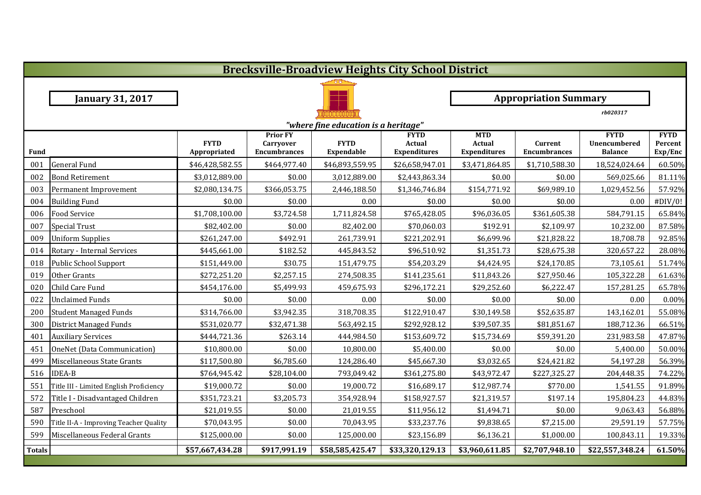|               | <b>Brecksville-Broadview Heights City School District</b> |                             |                                                     |                                      |                                                     |                                                    |                                |                                                      |                                   |
|---------------|-----------------------------------------------------------|-----------------------------|-----------------------------------------------------|--------------------------------------|-----------------------------------------------------|----------------------------------------------------|--------------------------------|------------------------------------------------------|-----------------------------------|
|               |                                                           |                             |                                                     |                                      |                                                     |                                                    |                                |                                                      |                                   |
|               | <b>January 31, 2017</b>                                   |                             |                                                     | <b>Appropriation Summary</b>         |                                                     |                                                    |                                |                                                      |                                   |
|               |                                                           |                             |                                                     |                                      |                                                     |                                                    |                                | rb020317                                             |                                   |
|               |                                                           |                             |                                                     | "where fine education is a heritage" |                                                     |                                                    |                                |                                                      |                                   |
| <b>Fund</b>   |                                                           | <b>FYTD</b><br>Appropriated | <b>Prior FY</b><br>Carryover<br><b>Encumbrances</b> | <b>FYTD</b><br>Expendable            | <b>FYTD</b><br><b>Actual</b><br><b>Expenditures</b> | <b>MTD</b><br><b>Actual</b><br><b>Expenditures</b> | Current<br><b>Encumbrances</b> | <b>FYTD</b><br><b>Unencumbered</b><br><b>Balance</b> | <b>FYTD</b><br>Percent<br>Exp/Enc |
| 001           | <b>General Fund</b>                                       | \$46,428,582.55             | \$464,977.40                                        | \$46,893,559.95                      | \$26,658,947.01                                     | \$3,471,864.85                                     | \$1,710,588.30                 | 18,524,024.64                                        | 60.50%                            |
| 002           | <b>Bond Retirement</b>                                    | \$3,012,889.00              | \$0.00                                              | 3,012,889.00                         | \$2,443,863.34                                      | \$0.00                                             | \$0.00                         | 569,025.66                                           | 81.11%                            |
| 003           | Permanent Improvement                                     | \$2,080,134.75              | \$366,053.75                                        | 2,446,188.50                         | \$1,346,746.84                                      | \$154,771.92                                       | \$69,989.10                    | 1,029,452.56                                         | 57.92%                            |
| 004           | <b>Building Fund</b>                                      | \$0.00                      | \$0.00                                              | 0.00                                 | \$0.00                                              | \$0.00                                             | \$0.00                         | 0.00                                                 | #DIV/0!                           |
| 006           | <b>Food Service</b>                                       | \$1,708,100.00              | \$3,724.58                                          | 1,711,824.58                         | \$765,428.05                                        | \$96,036.05                                        | \$361,605.38                   | 584,791.15                                           | 65.84%                            |
| 007           | <b>Special Trust</b>                                      | \$82,402.00                 | \$0.00                                              | 82,402.00                            | \$70,060.03                                         | \$192.91                                           | \$2,109.97                     | 10,232.00                                            | 87.58%                            |
| 009           | <b>Uniform Supplies</b>                                   | \$261,247.00                | \$492.91                                            | 261,739.91                           | \$221,202.91                                        | \$6,699.96                                         | \$21,828.22                    | 18,708.78                                            | 92.85%                            |
| 014           | Rotary - Internal Services                                | \$445,661.00                | \$182.52                                            | 445,843.52                           | \$96,510.92                                         | \$1,351.73                                         | \$28,675.38                    | 320,657.22                                           | 28.08%                            |
| 018           | Public School Support                                     | \$151,449.00                | \$30.75                                             | 151,479.75                           | \$54,203.29                                         | \$4,424.95                                         | \$24,170.85                    | 73,105.61                                            | 51.74%                            |
| 019           | Other Grants                                              | \$272,251.20                | \$2,257.15                                          | 274,508.35                           | \$141,235.61                                        | \$11,843.26                                        | \$27,950.46                    | 105,322.28                                           | 61.63%                            |
| 020           | Child Care Fund                                           | \$454,176.00                | \$5,499.93                                          | 459,675.93                           | \$296,172.21                                        | \$29,252.60                                        | \$6,222.47                     | 157,281.25                                           | 65.78%                            |
| 022           | <b>Unclaimed Funds</b>                                    | \$0.00                      | \$0.00                                              | 0.00                                 | \$0.00                                              | \$0.00                                             | \$0.00                         | 0.00                                                 | 0.00%                             |
| 200           | <b>Student Managed Funds</b>                              | \$314,766.00                | \$3,942.35                                          | 318,708.35                           | \$122,910.47                                        | \$30,149.58                                        | \$52,635.87                    | 143,162.01                                           | 55.08%                            |
| 300           | District Managed Funds                                    | \$531,020.77                | \$32,471.38                                         | 563,492.15                           | \$292,928.12                                        | \$39,507.35                                        | \$81,851.67                    | 188,712.36                                           | 66.51%                            |
| 401           | <b>Auxiliary Services</b>                                 | \$444,721.36                | \$263.14                                            | 444,984.50                           | \$153,609.72                                        | \$15,734.69                                        | \$59,391.20                    | 231,983.58                                           | 47.87%                            |
| 451           | OneNet (Data Communication)                               | \$10,800.00                 | \$0.00                                              | 10,800.00                            | \$5,400.00                                          | \$0.00                                             | \$0.00                         | 5,400.00                                             | 50.00%                            |
| 499           | Miscellaneous State Grants                                | \$117,500.80                | \$6,785.60                                          | 124,286.40                           | \$45,667.30                                         | \$3,032.65                                         | \$24,421.82                    | 54,197.28                                            | 56.39%                            |
| 516           | <b>IDEA-B</b>                                             | \$764,945.42                | \$28,104.00                                         | 793,049.42                           | \$361,275.80                                        | \$43,972.47                                        | \$227,325.27                   | 204,448.35                                           | 74.22%                            |
| 551           | Title III - Limited English Proficiency                   | \$19,000.72                 | \$0.00                                              | 19,000.72                            | \$16,689.17                                         | \$12,987.74                                        | \$770.00                       | 1,541.55                                             | 91.89%                            |
| 572           | Title I - Disadvantaged Children                          | \$351,723.21                | \$3,205.73                                          | 354,928.94                           | \$158,927.57                                        | \$21,319.57                                        | \$197.14                       | 195,804.23                                           | 44.83%                            |
| 587           | Preschool                                                 | \$21,019.55                 | \$0.00                                              | 21,019.55                            | \$11,956.12                                         | \$1,494.71                                         | \$0.00                         | 9,063.43                                             | 56.88%                            |
| 590           | Title II-A - Improving Teacher Quality                    | \$70,043.95                 | \$0.00                                              | 70,043.95                            | \$33,237.76                                         | \$9,838.65                                         | \$7,215.00                     | 29,591.19                                            | 57.75%                            |
| 599           | Miscellaneous Federal Grants                              | \$125,000.00                | \$0.00                                              | 125,000.00                           | \$23,156.89                                         | \$6,136.21                                         | \$1,000.00                     | 100,843.11                                           | 19.33%                            |
| <b>Totals</b> |                                                           | \$57,667,434.28             | \$917,991.19                                        | \$58,585,425.47                      | $\overline{333,320,129.13}$                         | \$3,960,611.85                                     | \$2,707,948.10                 | \$22,557,348.24                                      | 61.50%                            |